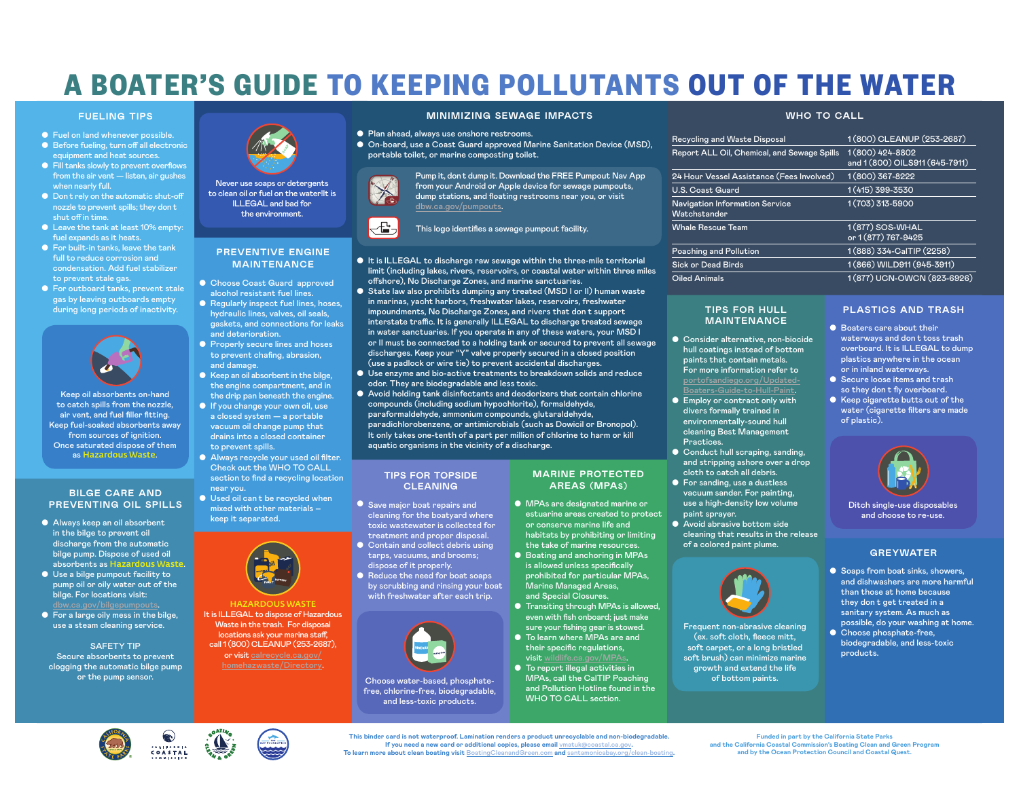## **A BOATER'S GUIDE TO KEEPING POLLUTANTS OUT OF THE WATER**

#### **FUELING TIPS**

- Fuel on land whenever possible.
- Before fueling, turn off all electronic equipment and heat sources.
- Fill tanks slowly to prevent overflows from the air vent — listen, air gushes when nearly full.
- Don t rely on the automatic shut-off nozzle to prevent spills; they don t shut off in time.
- Leave the tank at least 10% empty: fuel expands as it heats.
- For built-in tanks, leave the tank full to reduce corrosion and condensation. Add fuel stabilizer to prevent stale gas.
- For outboard tanks, prevent stale gas by leaving outboards empty during long periods of inactivity.



Keep oil absorbents on-hand to catch spills from the nozzle, air vent, and fuel fller ftting. Keep fuel-soaked absorbents away from sources of ignition. Once saturated dispose of them as Hazardous Waste.

#### **BILGE CARE AND PREVENTING OIL SPILLS**

- Always keep an oil absorbent in the bilge to prevent oil discharge from the automatic bilge pump. Dispose of used oil absorbents as Hazardous Waste.
- Use a bilge pumpout facility to pump oil or oily water out of the bilge. For locations visit:
- For a large oily mess in the bilge, use a steam cleaning service.

SAFETY TIP Secure absorbents to prevent clogging the automatic bilge pump or the pump sensor.



Never use soaps or detergents to clean oil or fuel on the water!It is ILLEGAL and bad for the environment.

#### **PREVENTIVE ENGINE MAINTENANCE**

- Choose Coast Guard approved alcohol resistant fuel lines.
- Regularly inspect fuel lines, hoses, hydraulic lines, valves, oil seals, gaskets, and connections for leaks and deterioration.
- Properly secure lines and hoses to prevent chafng, abrasion, and damage.
- Keep an oil absorbent in the bilge, the engine compartment, and in the drip pan beneath the engine.
- If you change your own oil, use a closed system — a portable vacuum oil change pump that drains into a closed container to prevent spills.
- Always recycle your used oil flter. Check out the WHO TO CALL section to fnd a recycling location near you.
- Used oil can t be recycled when mixed with other materials – keep it separated.



HAZARDOUS WASTE It is ILLEGAL to dispose of Hazardous Waste in the trash. For disposal locations ask your marina staff, call 1 (800) CLEANUP (253-2687), or visit calrecycle.ca.gov/



- Plan ahead, always use onshore restrooms.
- On-board, use a Coast Guard approved Marine Sanitation Device (MSD), portable toilet, or marine composting toilet.



Pump it, don t dump it. Download the FREE Pumpout Nav App from your Android or Apple device for sewage pumpouts, dump stations, and foating restrooms near you, or visit [dbw.ca.gov/pumpouts.](https://dbw.parks.ca.gov/?page_id=28771#VesselPumpout)

This logo identifes a sewage pumpout facility.

- It is ILLEGAL to discharge raw sewage within the three-mile territorial limit (including lakes, rivers, reservoirs, or coastal water within three miles ofshore), No Discharge Zones, and marine sanctuaries.
- State law also prohibits dumping any treated (MSD I or II) human waste in marinas, yacht harbors, freshwater lakes, reservoirs, freshwater impoundments, No Discharge Zones, and rivers that don t support interstate traffic. It is generally ILLEGAL to discharge treated sewage in water sanctuaries. If you operate in any of these waters, your MSD I or II must be connected to a holding tank or secured to prevent all sewage discharges. Keep your "Y" valve properly secured in a closed position (use a padlock or wire tie) to prevent accidental discharges.
- Use enzyme and bio-active treatments to breakdown solids and reduce odor. They are biodegradable and less toxic.
- Avoid holding tank disinfectants and deodorizers that contain chlorine compounds (including sodium hypochlorite), formaldehyde, paraformaldehyde, ammonium compounds, glutaraldehyde, paradichlorobenzene, or antimicrobials (such as Dowicil or Bronopol). It only takes one-tenth of a part per million of chlorine to harm or kill aquatic organisms in the vicinity of a discharge.

#### **TIPS FOR TOPSIDE CLEANING**

- Save major boat repairs and cleaning for the boatyard where toxic wastewater is collected for treatment and proper disposal.
- Contain and collect debris using tarps, vacuums, and brooms;
- by scrubbing and rinsing your boat with freshwater after each trip.



Choose water-based, phosphatefree, chlorine-free, biodegradable, and less-toxic products.

#### **MARINE PROTECTED AREAS (MPAS)**

- MPAs are designated marine or estuarine areas created to protect or conserve marine life and habitats by prohibiting or limiting the take of marine resources.
- Boating and anchoring in MPAs is allowed unless specifcally prohibited for particular MPAs, Marine Managed Areas, and Special Closures.
- Transiting through MPAs is allowed, even with fsh onboard; just make sure your fshing gear is stowed.
- To learn where MPAs are and their specific regulations, visit [wildlife.ca.gov/MPAs.](https://wildlife.ca.gov/Conservation/Marine/MPAs)
- To report illegal activities in MPAs, call the CalTIP Poaching and Pollution Hotline found in the WHO TO CALL section.

#### **WHO TO CALL**

| <b>Recycling and Waste Disposal</b>            | 1(800) CLEANUP (253-2687)                               |
|------------------------------------------------|---------------------------------------------------------|
| Report ALL Oil, Chemical, and Sewage Spills    | $1(800)$ $424 - 8802$<br>and 1 (800) OILS911 (645-7911) |
| 24 Hour Vessel Assistance (Fees Involved)      | 1 (800) 367-8222                                        |
| <b>U.S. Coast Guard</b>                        | 1 (415) 399-3530                                        |
| Navigation Information Service<br>Watchstander | 1 (703) 313-5900                                        |
| <b>Whale Rescue Team</b>                       | 1 (877) SOS-WHAL<br>or 1 (877) 767-9425                 |
| Poaching and Pollution                         | 1 (888) 334-CalTIP (2258)                               |
| <b>Sick or Dead Birds</b>                      | 1 (866) WILD911 (945-3911)                              |
| <b>Oiled Animals</b>                           | 1 (877) UCN-OWCN (823-6926)                             |

#### **TIPS FOR HULL MAINTENANCE**

- Consider alternative, non-biocide hull coatings instead of bottom paints that contain metals. For more information refer to [portofsandiego.org/Updated-](https://pantheonstorage.blob.core.windows.net/environment/Updated-Boaters-Guide-to-Using-Hull-Paint-May-2019.pdf)
- Employ or contract only with Boaters-Guide-to-Hull-Pa divers formally trained in environmentally-sound hull cleaning Best Management Practices.
- Conduct hull scraping, sanding, and stripping ashore over a drop cloth to catch all debris.
- For sanding, use a dustless vacuum sander. For painting, use a high-density low volume paint sprayer.
- Avoid abrasive bottom side cleaning that results in the release of a colored paint plume.



Frequent non-abrasive cleaning (ex. soft cloth, feece mitt, soft carpet, or a long bristled soft brush) can minimize marine growth and extend the life of bottom paints.

#### **PLASTICS AND TRASH**

- Boaters care about their waterways and don t toss trash overboard. It is ILLEGAL to dump plastics anywhere in the ocean or in inland waterways.
- Secure loose items and trash so they don t fly overboard.
- Keep cigarette butts out of the water (cigarette flters are made of plastic).



Ditch single-use disposables and choose to re-use.

#### **GREYWATER**

- Soaps from boat sinks, showers, and dishwashers are more harmful than those at home because they don t get treated in a sanitary system. As much as possible, do your washing at home.
- Choose phosphate-free, biodegradable, and less-toxic products.





**This binder card is not waterproof. Lamination renders a product unrecyclable and non-biodegradable. If you need a new card or additional copies, please email** [vmatuk@coastal.ca.gov](mailto:vmatuk@coastal.ca.gov)**. To learn more about clean boating visit** [BoatingCleanandGreen.com](http://boatingcleanandgreen.com) **and** [santamonicabay.org/clean-boating](https://santamonicabay.org/clean-boating)**.** 

**Funded in part by the California State Parks and the California Coastal Commission's Boating Clean and Green Program and by the Ocean Protection Council and Coastal Quest.** 

- 
- dispose of it properly. ● Reduce the need for boat soaps